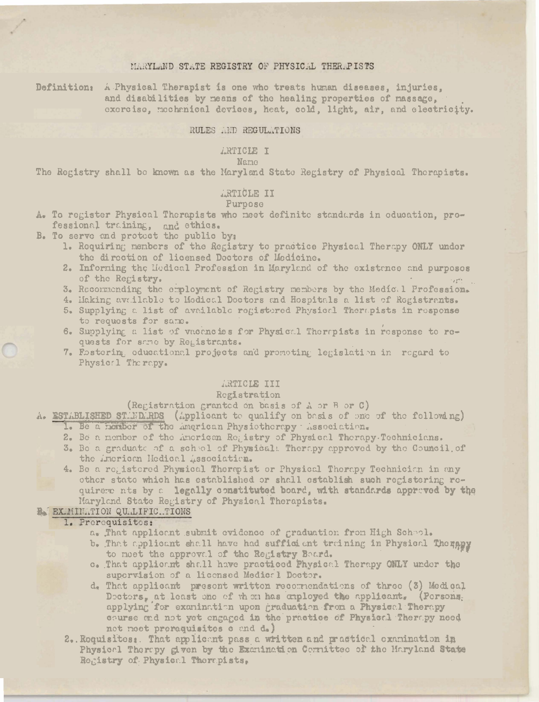# MARYLAND STATE REGISTRY OF PHYSICAL THERAPISTS

Definition: A Physical Therapist is one who treats human diseases, injuries, and disabilities by means of the healing properties of massage, exercise, mochanical devices, heat, cold, light, air, and electricity.

## RULES AND REGULATIONS

# *LRTICLE I*

## Name

The Registry shall be known as the Maryland State Registry of Physical Therapists.

# ARTICLE II

## Purpose

- A. To register Physical Therapists who meet definite standards in education, professional training, and ethics.
- B. To serve and protect the public by:
	- 1. Requiring members of the Registry to practice Physical Therapy ONLY under the direction of licensed Dectors of Medicine.
	- 2. Informing the Medical Profession in Maryland of the existence and purposes of the Registry.
	- 3. Recommending the employment of Registry members by the Medical Profession.
	- 4. Making available to Medical Doctors and Hospitals a list of Registrants.
	- 5. Supplying a list of available registered Physical Therapists in response to requests for same.
	- 6. Supplying a list of vacancies for Physical Therrpists in response to requests for some by Remistrants.
	- 7. Eastering educational projects and promoting legislation in regard to Physical Therapy.

# ARTICLE III

# Registration

- (Registration granted on basis of A or B or C)
- A. ESTABLISHED STANDARDS (Applicant to qualify on basis of one of the following) 1. Be a nember of the American Physiotherapy association.
	- 2. Be a member of the American Registry of Physical Therapy-Technicians.
	- 3. Be a graduate of a school of Physical: Therapy approved by the Council of the imerican Hedical Association.
	- 4. Be a registered Physical Thermpist or Physical Therapy Technician in any other state which has established or shall establish such registering requirere nts by a legally constituted board, with standards approved by the Maryland State Registry of Physical Therapists.

## **B. EXMINITION QUALIFIC.TIONS**

## 1. Prerequisites:

- a. That applicant submit evidence of graduation from High Scheol.
- b. That applicant shall have had sufficient training in Physical Therapy to moet the approval of the Registry Board.
- c. That applicant shall have practiced Physical Therapy ONLY under the supervision of a licensed Medical Doctor.
- d. That applicant present written recommendations of three (3) Modical Decters, at least one of them has employed the applicant. (Persons. applying for examination upon graduation from a Physical Therapy course and not yet engaged in the practice of Physical Therapy need not neet preraquisites e end d.)
- 2. Roquisites: That applicant pass a written and practical examination in Physical Therepy given by the Examination Cornittee of the Haryland State Registry of Physical Therapists,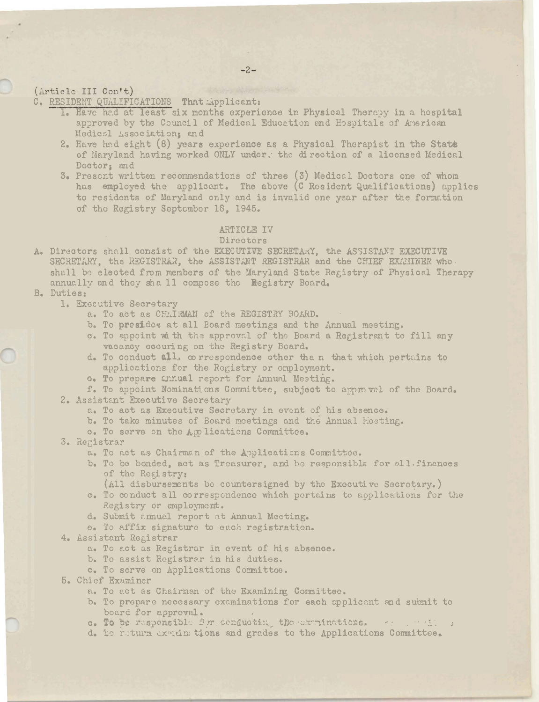## (Article III Con't)

C. RESIDENT QUALIFICATIONS That Applicant:

- 1. Have had at least six months experience in Physical Therapy in a hospital approved by the Council of Medical Education and Hospitals of American Medical Association: and
- 2. Have had eight (8) years experience as a Physical Therapist in the State of Maryland having worked ONLY under. the direction of a licensed Medical Doctor: and
- 3. Present written recommendations of three (3) Medical Doctors one of whom has employed the applicant. The above (C Resident Qualifications) applies to residents of Maryland only and is invalid one year after the formation of the Registry September 18, 1945.

## ARTICLE IV

### Directors

- A. Directors shall consist of the EXECUTIVE SECRETARY, the ASSISTANT EXECUTIVE SECRETARY, the REGISTRAR, the ASSISTANT REGISTRAR and the CHIEF EXAMINER who shall be elected from members of the Maryland State Registry of Physical Therapy annually and they shall compose the Registry Board.
- B. Duties:
	- 1. Executive Secretary
		- a. To act as CHAIRMAN of the REGISTRY BOARD.
		- b. To presidos at all Board meetings and the Annual meeting.
		- c. To appoint with the approval of the Board a Registrant to fill any vacancy occuring on the Registry Board.
		- d. To conduct all, correspondence other than that which pertains to applications for the Registry or employment.
		- G. To prepare Chaual report for Annual Meeting.

f. To appoint Nominations Committee, subject to approvel of the Board. 2. Assistant Executive Secretary

- a. To act as Executive Secretary in event of his absence.
- b. To take minutes of Board meetings and the Annual Mosting.
- c. To serve on the Applications Committee.
- 3. Registrar
	- a. To act as Chairman of the Applications Committee.
	- b. To be bonded, act as Troasurer, and be responsible for all finances of the Registry:
		- (All disbursements be countersigned by the Executive Secretary.)
	- c. To conduct all correspondence which pertains to applications for the Registry or employment.
	- d. Submit annual report at Annual Meeting.
	- e. To affix signature to each registration.
- 4. Assistant Registrar
	- a. To act as Registrar in event of his absence.
	- b. To assist Registrar in his duties.
	- c. To serve on Applications Committoe.
- 5. Chief Examiner
	- a. To act as Chairman of the Examining Committee.
	- b. To prepare necessary examinations for each applicant and submit to board for approval.
	- c. To be responsible for senducting the comminations. The sensition
	- d. To return examinations and grades to the Applications Committee.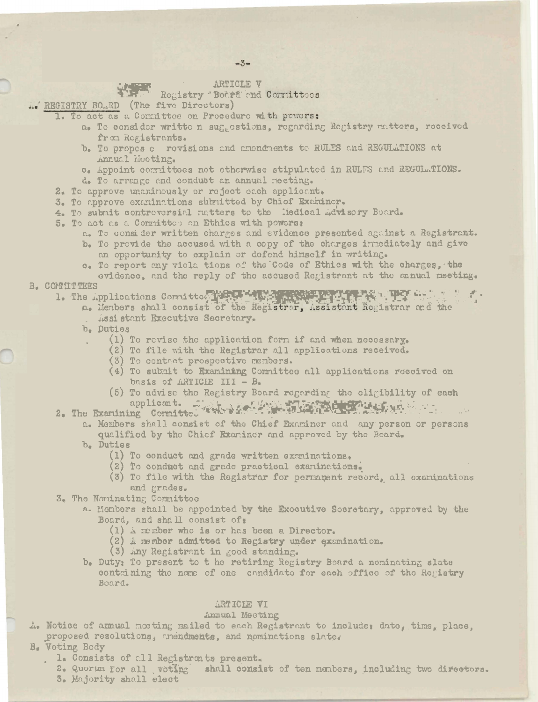$-3-$ 

# ARTICLE V

# Registry Botrd and Committees

L. REGISTRY BO.RD (The five Directors)

- 1. To act as a Committee on Procedure with powers:
	- a. To consider writte n suggestions, regarding Registry ratters, received from Registrants.
	- b. To propes e rovisions and amondments to RULES and REGULATIONS at Annual Mooting.
	- c. Appoint committees not otherwise stipulated in RULES and REGULATIONS.
	- d. To arrango and conduct an annual meeting.
- 2. To approve unaninously or reject each applicant.
- 3. To approve examinations submitted by Chief Examiner.
- 4. To submit contreversial natters to the liedical Advisory Board.
- 5. To act as a Committed on Ethics with powers:
	- a. To consider written charges and evidence presented against a Registrant.
	- b. To provide the accused with a copy of the charges innediately and give an opportunity to explain or defend himself in writing.
	- c. To report any viola tions of the Code of Ethics with the charges, the evidence, and the reply of the accused Registrant at the mnual meeting.

## B. COMMITTEES

1. The Applications Committed NEW AND TO A PROPERTY TO A PLAN AND THE

- a. Menbers shall consist of the Registrar, Assistant Registrar and the Assistant Executive Secretary.
- b. Duties
	- (1) To revise the application form if and when necessary.
		- (2) To file with the Registrar all applications received.
		- (3) To contact prospective members.
		- (4) To submit to Examining Committee all applications received on basis of ARTICIE III - B.
	- (5) To advise the Registry Board regarding the eligibility of each applicant. Jesus Marie 1944 (1944)
- 2. The Examining Committed
	- a. Members shall consist of the Chief Examiner and any person or persons qualified by the Chief Examiner and approved by the Beard.
		- b. Duties
			- (1) To conduct and grade written examinations.
			- (2) To conduct and grade practical examinations.
			- (3) To file with the Registrar for permanent record, all oxaminations and grades.

3. The Nominating Committee

- a. Monbers shall be appointed by the Exocutive Socretary, approved by the Board, and shall consist of:
	- $(1)$  A member who is or has been a Director.
	- (2) A member admitted to Registry under examination.
	- (3) Any Registrant in good standing.
- b. Duty: To present to t he retiring Registry Board a nominating slate containing the name of one candidate for each office of the Registry Board.

## ARTICLE VI

### Annual Meeting

A. Notice of armual mooting mailed to each Registrant to include, date, time, place. proposed resolutions, mendments, and nominations slate.

# B. Voting Body

- . l. Consists of all Registrants present.
- 2. Quorum for all voting shall consist of ten members, including two directors. 3. Majority shall elect